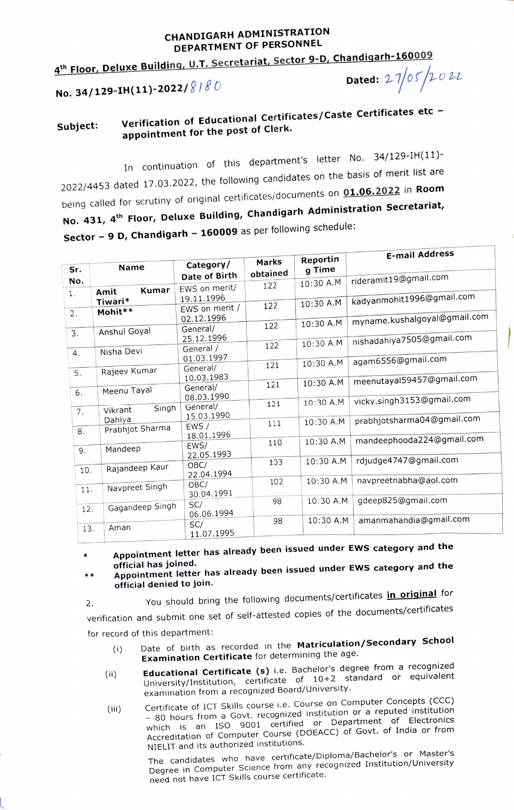## CHANDIGARH ADMINISTRATION DEPARTMENT OF PERSONNEL

 $4^{\text{th}}$  Floor, Deluxe Building, U.T. Secretariat, Sector 9-D, Chandigarh-160009<br>Ne. 34/129-TH(11)-2022/ $8180$ 

No. 34/129-IH(11)-2022/ $8180$ 

 $\overline{\mathcal{L}}$  and  $\overline{\mathcal{L}}$ 

## Verification of Educational Certificates/Caste Certificates etc - Subject: Verification of Educational Subject:

In continuation of this department's letter No. 34/129-IH(11)- 2022/4453 dated 17.03.2022, the following candidates on the basis of merit list are being called for scrutiny of original certificates/documents on 01.06.2022 in Room No. 431, 4<sup>th</sup> Floor, Deluxe Building, Chandigarh Administration Secretariat, Sector - 9 D, Chandigarh - 160009 as per following schedule:

|     |                            |                                 |                   |                    | <b>E-mail Address</b>        |
|-----|----------------------------|---------------------------------|-------------------|--------------------|------------------------------|
| Sr. | <b>Name</b>                | Category/                       | Marks<br>obtained | Reportin<br>g Time |                              |
| No. | Kumar                      | Date of Birth<br>EWS on merit/  | 122               | 10:30 A.M          | rideramit19@gmail.com        |
| 1.  | Amit<br>Tiwari*            | 19.11.1996                      | 122               | 10:30 A.M          | kadyanmohit1996@gmail.com    |
| 2.  | Mohit**                    | EWS on merit /<br>02.12.1996    |                   |                    | myname.kushalgoyal@gmail.com |
| 3.  | Anshul Goyal               | General/                        | 122               | 10:30 A.M          |                              |
| 4.  | Nisha Devi                 | 25.12.1996<br>General /         | 122               | 10:30 A.M          | nishadahiya7505@gmail.com    |
|     |                            | 01.03.1997<br>General/          | 121               | 10:30 A.M          | agam6556@gmail.com           |
| 5.  | Rajeev Kumar               | 10.03.1983<br>General/          | 121               | 10:30 A.M          | meenutayal59457@gmail.com    |
| 6.  | Meenu Tayal                | 08.03.1990                      | 121               | 10:30 A.M          | vicky.singh3153@gmail.com    |
| 7.  | Singh<br>Vikrant<br>Dahiya | General/<br>15.03.1990          |                   |                    | prabhjotsharma04@gmail.com   |
| 8.  | Prabhjot Sharma            | EWS/<br>18.01.1996              | 111               | 10:30 A.M          |                              |
| 9.  | Mandeep                    | EWS/                            | 110               | 10:30 A.M          | mandeephooda224@gmail.com    |
| 10. | Rajandeep Kaur             | 22.05.1993<br>OBC/              | 103               | 10:30 A.M          | rdjudge4747@gmail.com        |
| 11. | Navpreet Singh             | 22.04.1994<br>OBC/              | 102               | 10:30 A.M          | navpreetnabha@aol.com        |
| 12. | Gagandeep Singh            | 30.04.1991<br>SC/               | 98                | 10:30 A.M          | gdeep825@gmail.com           |
| 13. | Aman                       | 06.06.1994<br>SC/<br>11.07.1995 | 98                | 10:30 A.M          | amanmahandia@gmail.com       |
|     |                            |                                 |                   |                    |                              |

Appointment letter has already been issued under EwS category and the

official has joined. Appointment letter has already been issued under EwS category and the  $**$ official denied to join.

2. You should bring the following documents/certificates *in original* for verification and submit one set of self-attested copies of the documents/certificates for record of this department:

- Date of birth as recorded in the Matriculation/Secondary School (i) Date of birth as recorded in the matriculation.<br>**Examination Certificate** for determining the age.
- Educational Certificate (s) i.e. Bachelor's degree from a recognized University/Institution, certificate of 10+2 standard or equivalent examination from a recognized Board/University. (ii)
- Certificate of ICT Skills course i.e. Course on Computer Concepts (CCC) Certificate of ICT Skills course i.e. course from a reputed institution<br>- 80 hours from a Govt. recognized institution or a reputed institution which is an ISO 9001 certified or Department of Electronics Accreditation of Computer Course (DOEACC) of Govt. of India or from NIELIT and its authorized institutions. (ii)

The candidates who have certificate/Diploma/Bachelor's or Master's Degree in Computer Science from any recognized Institution/University need not have ICT Skills course certificate.